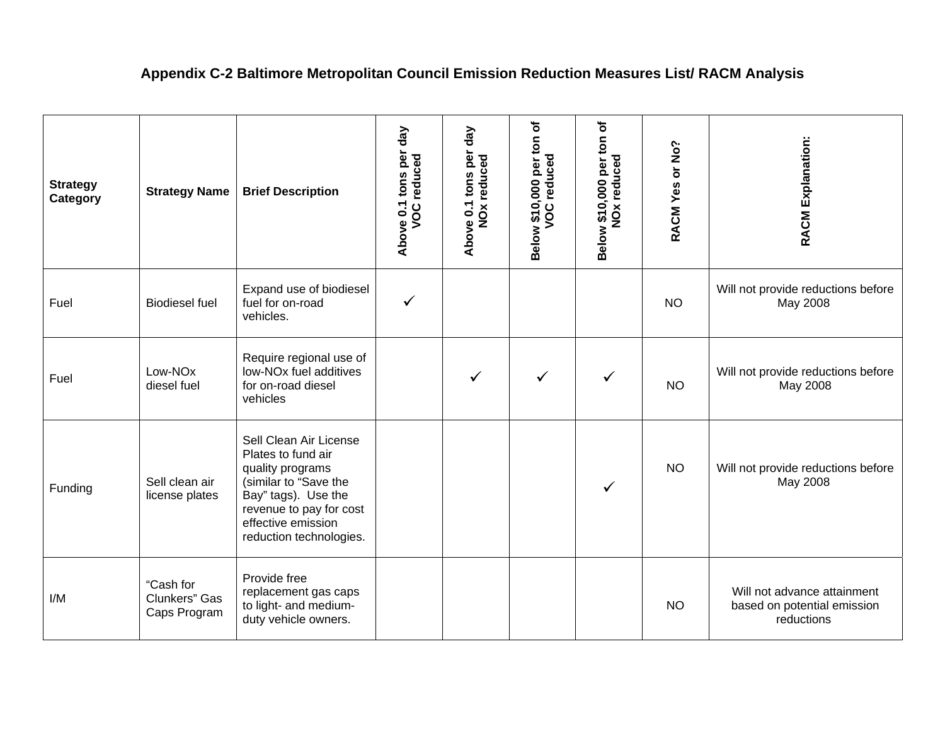## **Appendix C-2 Baltimore Metropolitan Council Emission Reduction Measures List/ RACM Analysis**

| <b>Strategy</b><br>Category | <b>Strategy Name</b>                       | <b>Brief Description</b>                                                                                                                                                                     | $\sqrt{e}$<br>tons per<br><b>VOC</b> reduced<br>Above 0.1 | $\sqrt{e}$<br>per<br>NO <sub>x</sub> reduced<br>$0.1$ tons<br>Above | ð<br>$\frac{1}{2}$<br><b>VOC</b> reduced<br>\$10,000 per<br>Below | đ<br>Below \$10,000 per ton<br>NO <sub>x</sub> reduced | RACM Yes or No? | <b>RACM Explanation:</b>                                                 |
|-----------------------------|--------------------------------------------|----------------------------------------------------------------------------------------------------------------------------------------------------------------------------------------------|-----------------------------------------------------------|---------------------------------------------------------------------|-------------------------------------------------------------------|--------------------------------------------------------|-----------------|--------------------------------------------------------------------------|
| Fuel                        | <b>Biodiesel fuel</b>                      | Expand use of biodiesel<br>fuel for on-road<br>vehicles.                                                                                                                                     | $\checkmark$                                              |                                                                     |                                                                   |                                                        | <b>NO</b>       | Will not provide reductions before<br>May 2008                           |
| Fuel                        | Low-NOx<br>diesel fuel                     | Require regional use of<br>low-NO <sub>x</sub> fuel additives<br>for on-road diesel<br>vehicles                                                                                              |                                                           | $\checkmark$                                                        | $\checkmark$                                                      | ✓                                                      | <b>NO</b>       | Will not provide reductions before<br>May 2008                           |
| Funding                     | Sell clean air<br>license plates           | Sell Clean Air License<br>Plates to fund air<br>quality programs<br>(similar to "Save the<br>Bay" tags). Use the<br>revenue to pay for cost<br>effective emission<br>reduction technologies. |                                                           |                                                                     |                                                                   | $\checkmark$                                           | <b>NO</b>       | Will not provide reductions before<br>May 2008                           |
| I/M                         | "Cash for<br>Clunkers" Gas<br>Caps Program | Provide free<br>replacement gas caps<br>to light- and medium-<br>duty vehicle owners.                                                                                                        |                                                           |                                                                     |                                                                   |                                                        | <b>NO</b>       | Will not advance attainment<br>based on potential emission<br>reductions |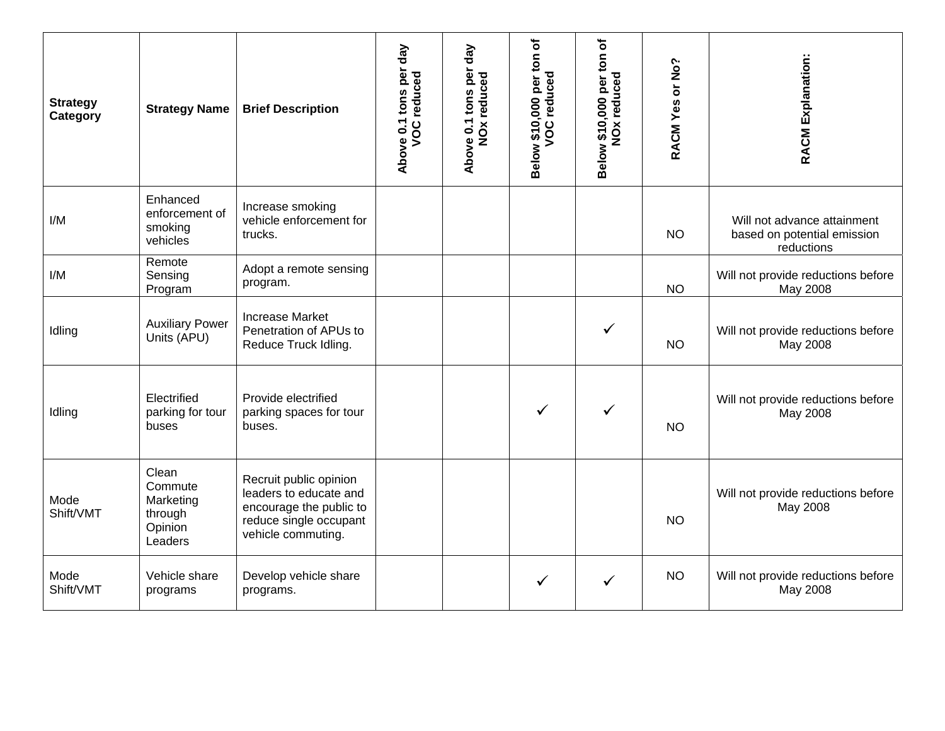| <b>Strategy</b><br>Category | <b>Strategy Name</b>                                           | <b>Brief Description</b>                                                                                                    | $\sqrt{e}$<br>tons per<br><b>VOC</b> reduced<br>Above 0.1 | $\sqrt{e}$<br>tons per<br>NO <sub>x</sub> reduced<br>Above 0.1 | Below \$10,000 per ton of<br><b>VOC</b> reduced | Below \$10,000 per ton of<br><b>NO<sub>x</sub></b> reduced | RACM Yes or No? | <b>RACM Explanation:</b>                                                 |
|-----------------------------|----------------------------------------------------------------|-----------------------------------------------------------------------------------------------------------------------------|-----------------------------------------------------------|----------------------------------------------------------------|-------------------------------------------------|------------------------------------------------------------|-----------------|--------------------------------------------------------------------------|
| I/M                         | Enhanced<br>enforcement of<br>smoking<br>vehicles              | Increase smoking<br>vehicle enforcement for<br>trucks.                                                                      |                                                           |                                                                |                                                 |                                                            | <b>NO</b>       | Will not advance attainment<br>based on potential emission<br>reductions |
| I/M                         | Remote<br>Sensing<br>Program                                   | Adopt a remote sensing<br>program.                                                                                          |                                                           |                                                                |                                                 |                                                            | <b>NO</b>       | Will not provide reductions before<br>May 2008                           |
| Idling                      | <b>Auxiliary Power</b><br>Units (APU)                          | <b>Increase Market</b><br>Penetration of APUs to<br>Reduce Truck Idling.                                                    |                                                           |                                                                |                                                 | ✓                                                          | <b>NO</b>       | Will not provide reductions before<br>May 2008                           |
| Idling                      | Electrified<br>parking for tour<br>buses                       | Provide electrified<br>parking spaces for tour<br>buses.                                                                    |                                                           |                                                                | $\checkmark$                                    | $\checkmark$                                               | <b>NO</b>       | Will not provide reductions before<br>May 2008                           |
| Mode<br>Shift/VMT           | Clean<br>Commute<br>Marketing<br>through<br>Opinion<br>Leaders | Recruit public opinion<br>leaders to educate and<br>encourage the public to<br>reduce single occupant<br>vehicle commuting. |                                                           |                                                                |                                                 |                                                            | <b>NO</b>       | Will not provide reductions before<br>May 2008                           |
| Mode<br>Shift/VMT           | Vehicle share<br>programs                                      | Develop vehicle share<br>programs.                                                                                          |                                                           |                                                                | $\checkmark$                                    | $\checkmark$                                               | <b>NO</b>       | Will not provide reductions before<br>May 2008                           |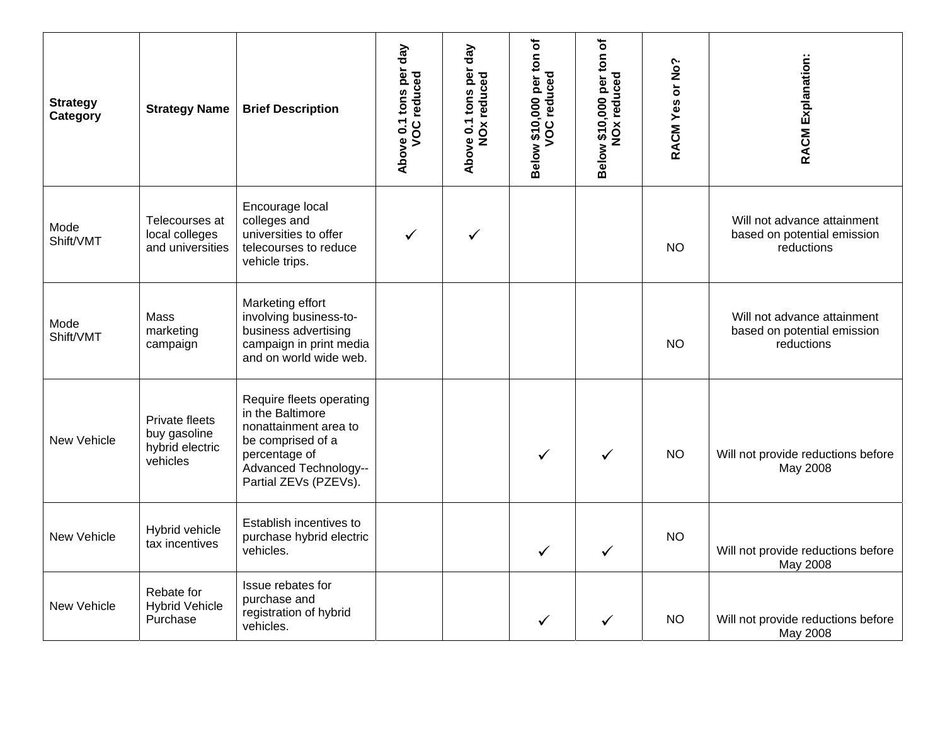| <b>Strategy</b><br>Category | <b>Strategy Name</b>                                                 | <b>Brief Description</b>                                                                                                                                             | $\sqrt{e}$<br>tons per<br><b>VOC</b> reduced<br>Above 0.1 | $\sqrt{a}$<br>0.1 tons per<br>NO <sub>x</sub> reduced<br>Above | per ton of<br>Below \$10,000 per t | Below \$10,000 per ton of<br><b>NOx reduced</b> | RACM Yes or No? | RACM Explanation:                                                        |
|-----------------------------|----------------------------------------------------------------------|----------------------------------------------------------------------------------------------------------------------------------------------------------------------|-----------------------------------------------------------|----------------------------------------------------------------|------------------------------------|-------------------------------------------------|-----------------|--------------------------------------------------------------------------|
| Mode<br>Shift/VMT           | Telecourses at<br>local colleges<br>and universities                 | Encourage local<br>colleges and<br>universities to offer<br>telecourses to reduce<br>vehicle trips.                                                                  |                                                           | ✓                                                              |                                    |                                                 | <b>NO</b>       | Will not advance attainment<br>based on potential emission<br>reductions |
| Mode<br>Shift/VMT           | Mass<br>marketing<br>campaign                                        | Marketing effort<br>involving business-to-<br>business advertising<br>campaign in print media<br>and on world wide web.                                              |                                                           |                                                                |                                    |                                                 | <b>NO</b>       | Will not advance attainment<br>based on potential emission<br>reductions |
| New Vehicle                 | <b>Private fleets</b><br>buy gasoline<br>hybrid electric<br>vehicles | Require fleets operating<br>in the Baltimore<br>nonattainment area to<br>be comprised of a<br>percentage of<br><b>Advanced Technology--</b><br>Partial ZEVs (PZEVs). |                                                           |                                                                | $\checkmark$                       | ✓                                               | <b>NO</b>       | Will not provide reductions before<br>May 2008                           |
| New Vehicle                 | Hybrid vehicle<br>tax incentives                                     | Establish incentives to<br>purchase hybrid electric<br>vehicles.                                                                                                     |                                                           |                                                                | $\checkmark$                       | $\checkmark$                                    | <b>NO</b>       | Will not provide reductions before<br>May 2008                           |
| New Vehicle                 | Rebate for<br><b>Hybrid Vehicle</b><br>Purchase                      | Issue rebates for<br>purchase and<br>registration of hybrid<br>vehicles.                                                                                             |                                                           |                                                                | $\checkmark$                       | $\checkmark$                                    | <b>NO</b>       | Will not provide reductions before<br>May 2008                           |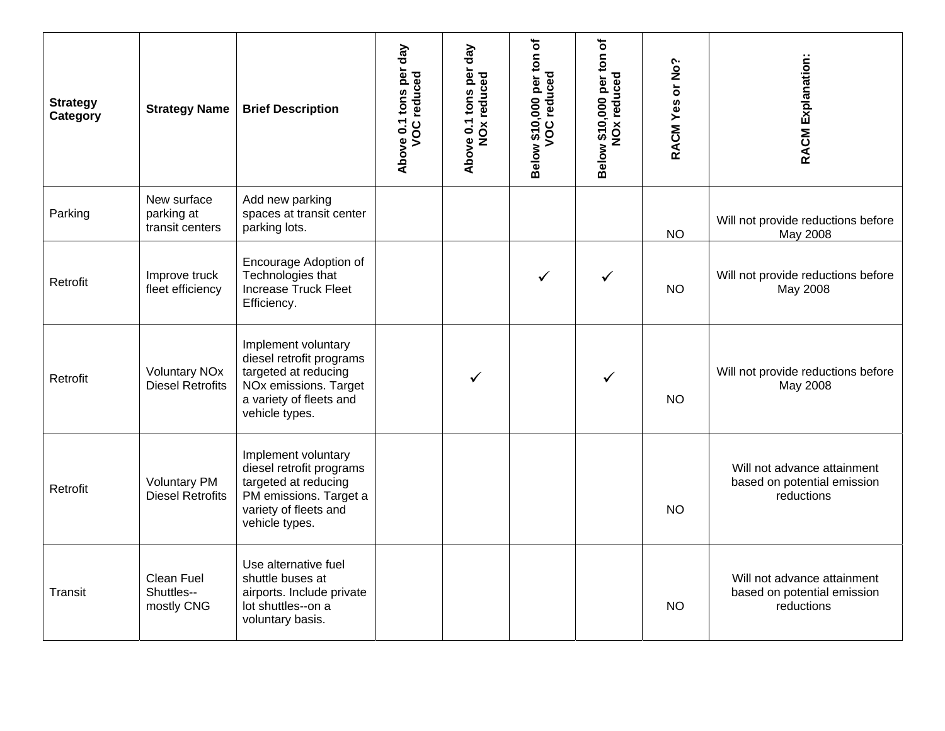| <b>Strategy</b><br>Category | <b>Strategy Name</b>                            | <b>Brief Description</b>                                                                                                                      | $\sqrt{e}$<br>tons per<br><b>VOC</b> reduced<br>Above 0.1 | $\sqrt{e}$<br>Above 0.1 tons per<br>NO <sub>x</sub> reduced | Below \$10,000 per ton of<br><b>VOC</b> reduced | Below \$10,000 per ton of<br>NO <sub>x</sub> reduced | RACM Yes or No? | <b>RACM Explanation:</b>                                                 |
|-----------------------------|-------------------------------------------------|-----------------------------------------------------------------------------------------------------------------------------------------------|-----------------------------------------------------------|-------------------------------------------------------------|-------------------------------------------------|------------------------------------------------------|-----------------|--------------------------------------------------------------------------|
| Parking                     | New surface<br>parking at<br>transit centers    | Add new parking<br>spaces at transit center<br>parking lots.                                                                                  |                                                           |                                                             |                                                 |                                                      | <b>NO</b>       | Will not provide reductions before<br>May 2008                           |
| Retrofit                    | Improve truck<br>fleet efficiency               | Encourage Adoption of<br>Technologies that<br>Increase Truck Fleet<br>Efficiency.                                                             |                                                           |                                                             | $\checkmark$                                    | ✓                                                    | <b>NO</b>       | Will not provide reductions before<br>May 2008                           |
| Retrofit                    | <b>Voluntary NOx</b><br><b>Diesel Retrofits</b> | Implement voluntary<br>diesel retrofit programs<br>targeted at reducing<br>NOx emissions. Target<br>a variety of fleets and<br>vehicle types. |                                                           |                                                             |                                                 | ✓                                                    | NO.             | Will not provide reductions before<br>May 2008                           |
| Retrofit                    | <b>Voluntary PM</b><br><b>Diesel Retrofits</b>  | Implement voluntary<br>diesel retrofit programs<br>targeted at reducing<br>PM emissions. Target a<br>variety of fleets and<br>vehicle types.  |                                                           |                                                             |                                                 |                                                      | <b>NO</b>       | Will not advance attainment<br>based on potential emission<br>reductions |
| Transit                     | <b>Clean Fuel</b><br>Shuttles--<br>mostly CNG   | Use alternative fuel<br>shuttle buses at<br>airports. Include private<br>lot shuttles--on a<br>voluntary basis.                               |                                                           |                                                             |                                                 |                                                      | <b>NO</b>       | Will not advance attainment<br>based on potential emission<br>reductions |